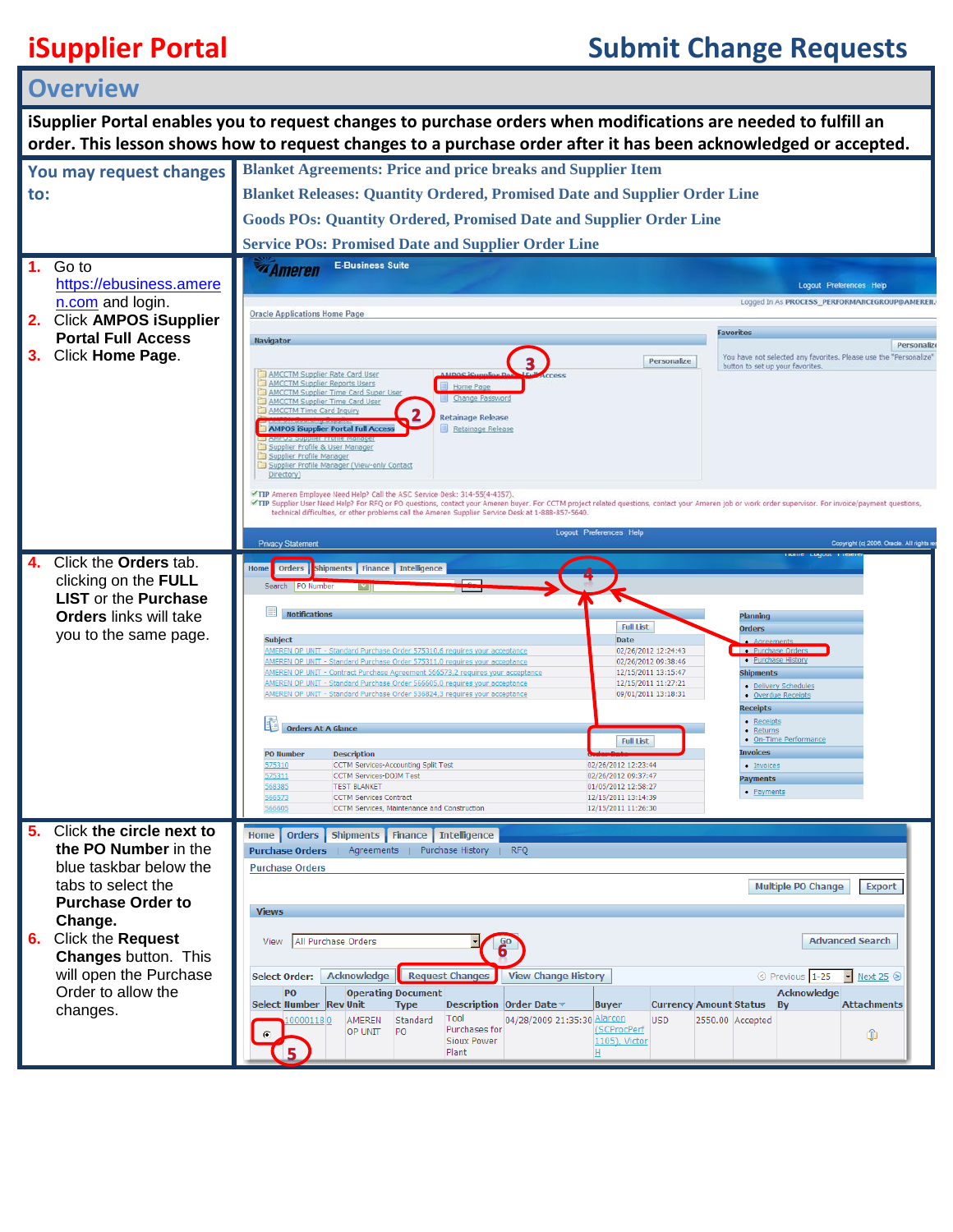## **iSupplier Portal Submit Change Requests**

| <b>Overview</b>                                                                                                 |                                                |                                                                                                                                                                                                                                                                                                                                                                                          |                                                                                                       |  |  |
|-----------------------------------------------------------------------------------------------------------------|------------------------------------------------|------------------------------------------------------------------------------------------------------------------------------------------------------------------------------------------------------------------------------------------------------------------------------------------------------------------------------------------------------------------------------------------|-------------------------------------------------------------------------------------------------------|--|--|
| iSupplier Portal enables you to request changes to purchase orders when modifications are needed to fulfill an  |                                                |                                                                                                                                                                                                                                                                                                                                                                                          |                                                                                                       |  |  |
| order. This lesson shows how to request changes to a purchase order after it has been acknowledged or accepted. |                                                |                                                                                                                                                                                                                                                                                                                                                                                          |                                                                                                       |  |  |
|                                                                                                                 | You may request changes                        | <b>Blanket Agreements: Price and price breaks and Supplier Item</b>                                                                                                                                                                                                                                                                                                                      |                                                                                                       |  |  |
| to:                                                                                                             |                                                | <b>Blanket Releases: Quantity Ordered, Promised Date and Supplier Order Line</b>                                                                                                                                                                                                                                                                                                         |                                                                                                       |  |  |
|                                                                                                                 |                                                | <b>Goods POs: Quantity Ordered, Promised Date and Supplier Order Line</b>                                                                                                                                                                                                                                                                                                                |                                                                                                       |  |  |
|                                                                                                                 |                                                | <b>Service POs: Promised Date and Supplier Order Line</b>                                                                                                                                                                                                                                                                                                                                |                                                                                                       |  |  |
|                                                                                                                 | Go to                                          | <b>E-Business Suite</b><br><b><i><u><b>Ameren</b></u></i></b>                                                                                                                                                                                                                                                                                                                            |                                                                                                       |  |  |
|                                                                                                                 | https://ebusiness.amere<br>n.com and login.    |                                                                                                                                                                                                                                                                                                                                                                                          | <b>Logout Preferences Help</b><br>Logged In As PROCESS_PERFORMANCEGROUP@AMEREN.                       |  |  |
|                                                                                                                 | 2. Click AMPOS iSupplier                       | <b>Oracle Applications Home Page</b>                                                                                                                                                                                                                                                                                                                                                     |                                                                                                       |  |  |
|                                                                                                                 | <b>Portal Full Access</b>                      | Navigator                                                                                                                                                                                                                                                                                                                                                                                | Favorites<br>Personaliz                                                                               |  |  |
| 3.                                                                                                              | Click Home Page.                               | Personalize                                                                                                                                                                                                                                                                                                                                                                              | You have not selected any favorites. Please use the "Personalize"<br>button to set up your favorites. |  |  |
|                                                                                                                 |                                                | AMCCTM Supplier Rate Card User<br>AMCCTM Supplier Reports Users<br>Home Page<br>AMCCTM Supplier Time Card Super User                                                                                                                                                                                                                                                                     |                                                                                                       |  |  |
|                                                                                                                 |                                                | Change Password<br>AMCCTM Supplier Time Card User<br>AMCCTM Time Card Inquiry<br><b>Retainage Release</b>                                                                                                                                                                                                                                                                                |                                                                                                       |  |  |
|                                                                                                                 |                                                | AMPOS iSupplier Portal Full Acces<br>Retainage Release                                                                                                                                                                                                                                                                                                                                   |                                                                                                       |  |  |
|                                                                                                                 |                                                | Supplier Profile & User Manager<br>Supplier Profile Manager<br>Supplier Profile Manager (View-only Contact                                                                                                                                                                                                                                                                               |                                                                                                       |  |  |
|                                                                                                                 |                                                | Directory)                                                                                                                                                                                                                                                                                                                                                                               |                                                                                                       |  |  |
|                                                                                                                 |                                                | TIP Ameren Employee Need Help? Call the ASC Service Desk: 314-55(4-4357).<br>TIP Supplier User Need Help? For RFQ or PO questions, contact your Ameren buyer. For CCTM project related questions, contact your Ameren job or work order supervisor. For invoice/payment questions,<br>technical difficulties, or other problems call the Ameren Supplier Service Desk at 1-888-857-5640. |                                                                                                       |  |  |
|                                                                                                                 |                                                | Logout Preferences Help                                                                                                                                                                                                                                                                                                                                                                  |                                                                                                       |  |  |
|                                                                                                                 | Click the <b>Orders</b> tab.                   | <b>Privacy Statement</b>                                                                                                                                                                                                                                                                                                                                                                 | Copyright (c) 2006, Oracle. All rights r                                                              |  |  |
|                                                                                                                 | clicking on the FULL                           | Shipments Finance Intelligence<br>Orders  <br>Home<br>Search   PO Number                                                                                                                                                                                                                                                                                                                 |                                                                                                       |  |  |
|                                                                                                                 | <b>LIST</b> or the <b>Purchase</b>             |                                                                                                                                                                                                                                                                                                                                                                                          |                                                                                                       |  |  |
|                                                                                                                 | <b>Orders</b> links will take                  | <b>Notifications</b><br><b>Full List</b>                                                                                                                                                                                                                                                                                                                                                 | Planning<br>Orders                                                                                    |  |  |
|                                                                                                                 | you to the same page.                          | <b>Subject</b><br>Date<br>AMEREN OP UNIT - Standard Purchase Order 575310,6 requires your acceptance<br>02/26/2012 12:24:43                                                                                                                                                                                                                                                              | • Purchase Orders                                                                                     |  |  |
|                                                                                                                 |                                                | AMEREN OP UNIT - Standard Purchase Order 575311,0 requires your acceptance<br>02/26/2012 09:38:46<br>AMEREN OP UNIT - Contract Purchase Agreement 566573,2 requires your acceptance<br>12/15/2011 13:15:47                                                                                                                                                                               | • Purchase History<br><b>Shipments</b>                                                                |  |  |
|                                                                                                                 |                                                | AMEREN OP UNIT - Standard Purchase Order 566605,0 requires your acceptance<br>12/15/2011 11:27:21<br>AMEREN OP UNIT - Standard Purchase Order 536824,3 requires your acceptance<br>09/01/2011 13:18:31                                                                                                                                                                                   | · Delivery Schedules<br>• Overdue Receipts                                                            |  |  |
|                                                                                                                 |                                                | <b>Orders At A Glance</b>                                                                                                                                                                                                                                                                                                                                                                | <b>Receipts</b><br>• Receipts                                                                         |  |  |
|                                                                                                                 |                                                | <b>Full List</b>                                                                                                                                                                                                                                                                                                                                                                         | • Returns<br>• On-Time Performance                                                                    |  |  |
|                                                                                                                 |                                                | <b>PO Number</b><br><b>Description</b><br>CCTM Services-Accounting Split Test<br>02/26/2012 12:23:44<br>575310<br>CCTM Services-DOJM Test<br>02/26/2012 09:37:47                                                                                                                                                                                                                         | Invoices<br>· Invoices                                                                                |  |  |
|                                                                                                                 |                                                | 575311<br>568385<br><b>TEST BLANKET</b><br>01/05/2012 12:58:27<br>566573<br><b>CCTM Services Contract</b><br>12/15/2011 13:14:39                                                                                                                                                                                                                                                         | Payments<br>• Payments                                                                                |  |  |
|                                                                                                                 |                                                | 566605<br>CCTM Services, Maintenance and Construction<br>12/15/2011 11:26:30                                                                                                                                                                                                                                                                                                             |                                                                                                       |  |  |
| 5.                                                                                                              | Click the circle next to                       | Home   Orders   Shipments   Finance   Intelligence                                                                                                                                                                                                                                                                                                                                       |                                                                                                       |  |  |
|                                                                                                                 | the PO Number in the<br>blue taskbar below the | Purchase Orders   Agreements   Purchase History   RFQ<br><b>Purchase Orders</b>                                                                                                                                                                                                                                                                                                          |                                                                                                       |  |  |
|                                                                                                                 | tabs to select the                             |                                                                                                                                                                                                                                                                                                                                                                                          | Multiple PO Change<br><b>Export</b>                                                                   |  |  |
|                                                                                                                 | <b>Purchase Order to</b>                       | <b>Views</b>                                                                                                                                                                                                                                                                                                                                                                             |                                                                                                       |  |  |
| 6.                                                                                                              | Change.<br>Click the Request                   | All Purchase Orders                                                                                                                                                                                                                                                                                                                                                                      | <b>Advanced Search</b>                                                                                |  |  |
|                                                                                                                 | <b>Changes button. This</b>                    | View                                                                                                                                                                                                                                                                                                                                                                                     |                                                                                                       |  |  |
|                                                                                                                 | will open the Purchase                         | <b>View Change History</b><br>Acknowledge<br><b>Request Changes</b><br><b>Select Order:</b>                                                                                                                                                                                                                                                                                              | © Previous 1-25<br>$\blacktriangleright$ Next 25 $\odot$                                              |  |  |
|                                                                                                                 | Order to allow the<br>changes.                 | PO<br><b>Operating Document</b><br>Select Number Rev Unit<br>Description Order Date ▼<br><b>Type</b><br><b>Buyer</b>                                                                                                                                                                                                                                                                     | <b>Acknowledge</b><br><b>Attachments</b><br><b>Currency Amount Status</b><br><b>By</b>                |  |  |
|                                                                                                                 |                                                | Tool<br>04/28/2009 21:35:30 Alarcon<br>AMEREN<br>Standard<br><b>USD</b><br>0001180<br>(SCProcPerf<br>Purchases for<br>OP UNIT<br>PO                                                                                                                                                                                                                                                      | 2550.00 Accepted<br>⋔                                                                                 |  |  |
|                                                                                                                 |                                                | 1105), Victor<br>Sioux Power<br>Plant<br>Ш                                                                                                                                                                                                                                                                                                                                               |                                                                                                       |  |  |